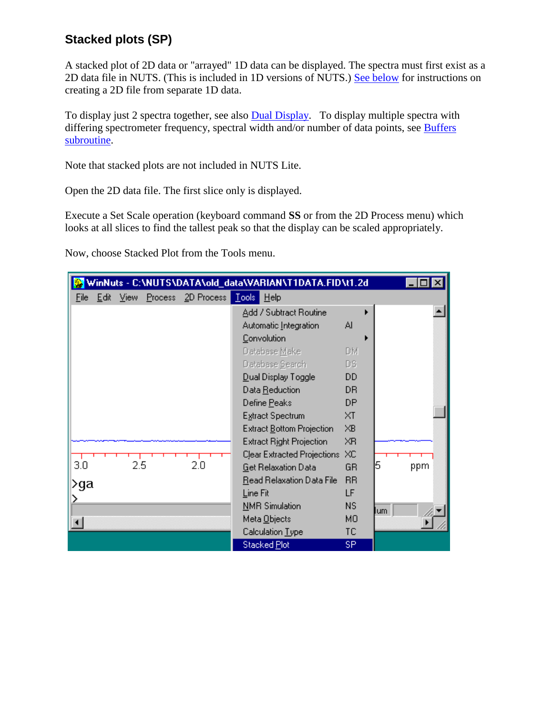## **Stacked plots (SP)**

A stacked plot of 2D data or "arrayed" 1D data can be displayed. The spectra must first exist as a 2D data file in NUTS. (This is included in 1D versions of NUTS.) [See below](mk:@MSITStore:C:/Nuts/nutshtml.chm::/sp_show.html#build2D) for instructions on creating a 2D file from separate 1D data.

To display just 2 spectra together, see also [Dual Display.](mk:@MSITStore:C:/Nuts/nutshtml.chm::/as.html#dd) To display multiple spectra with differing spectrometer frequency, spectral width and/or number of data points, see Buffers [subroutine.](mk:@MSITStore:C:/Nuts/nutshtml.chm::/buffers.htm)

Note that stacked plots are not included in NUTS Lite.

Open the 2D data file. The first slice only is displayed.

Execute a Set Scale operation (keyboard command **SS** or from the 2D Process menu) which looks at all slices to find the tallest peak so that the display can be scaled appropriately.

Now, choose Stacked Plot from the Tools menu.

|      | WinNuts - C:\NUTS\DATA\old_data\VARIAN\T1DATA.FID\t1.2d |     |  |     |                                         |                |           |  |  |
|------|---------------------------------------------------------|-----|--|-----|-----------------------------------------|----------------|-----------|--|--|
| File |                                                         |     |  |     | Edit View Process 2D Process Tools Help |                |           |  |  |
|      |                                                         |     |  |     | Add / Subtract Routine                  |                |           |  |  |
|      |                                                         |     |  |     | Automatic Integration                   | Al             |           |  |  |
|      |                                                         |     |  |     | Convolution                             |                |           |  |  |
|      |                                                         |     |  |     | Database Make                           | DM.            |           |  |  |
|      |                                                         |     |  |     | Database Search                         | DS.            |           |  |  |
|      |                                                         |     |  |     | Dual Display Toggle                     | DD             |           |  |  |
|      |                                                         |     |  |     | Data Reduction                          | D <sub>R</sub> |           |  |  |
|      |                                                         |     |  |     | Define Peaks                            | <b>DP</b>      |           |  |  |
|      |                                                         |     |  |     | Extract Spectrum                        | XT             |           |  |  |
|      |                                                         |     |  |     | Extract Bottom Projection               | XB.            |           |  |  |
|      |                                                         |     |  |     | <b>Extract Right Projection</b>         | XR             |           |  |  |
|      |                                                         |     |  |     | Clear Extracted Projections             | XC             |           |  |  |
| 3.0  |                                                         | 2.5 |  | 2.0 | <b>Get Relaxation Data</b>              | GR.            | 5<br>ppm  |  |  |
| ⊵ga  |                                                         |     |  |     | Read Relaxation Data File               | <b>RR</b>      |           |  |  |
|      |                                                         |     |  |     | Line Fit                                | LF             |           |  |  |
|      |                                                         |     |  |     | <b>NMR</b> Simulation                   | <b>NS</b>      | <b>um</b> |  |  |
|      |                                                         |     |  |     | Meta Objects                            | M <sub>O</sub> |           |  |  |
|      |                                                         |     |  |     | Calculation Type                        | ТC             |           |  |  |
|      |                                                         |     |  |     | Stacked Plot                            | SP.            |           |  |  |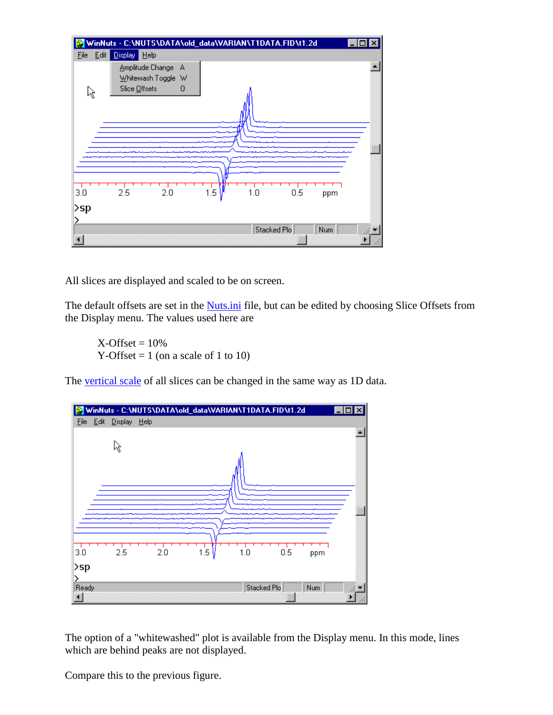

All slices are displayed and scaled to be on screen.

The default offsets are set in the **Nuts.ini** file, but can be edited by choosing Slice Offsets from the Display menu. The values used here are

 $X$ -Offset =  $10\%$ Y-Offset  $= 1$  (on a scale of 1 to 10)

The [vertical scale](mk:@MSITStore:C:/Nuts/nutshtml.chm::/Scale.html) of all slices can be changed in the same way as 1D data.



The option of a "whitewashed" plot is available from the Display menu. In this mode, lines which are behind peaks are not displayed.

Compare this to the previous figure.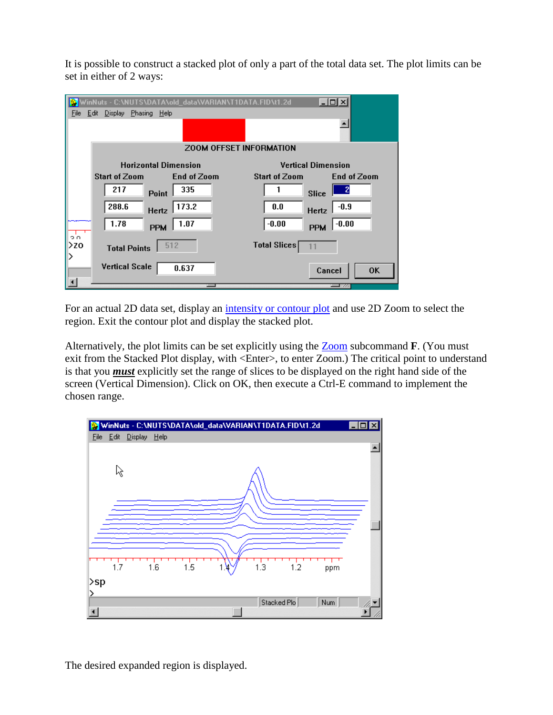It is possible to construct a stacked plot of only a part of the total data set. The plot limits can be set in either of 2 ways:

|               | WinNuts - C:\NUTS\DATA\old_data\VARIAN\T1DATA.FID\t1.2d | $ \Box$ $\times$                 |  |  |  |  |  |
|---------------|---------------------------------------------------------|----------------------------------|--|--|--|--|--|
| <u>File</u>   | Display Phasing Help<br>Edit                            |                                  |  |  |  |  |  |
|               |                                                         |                                  |  |  |  |  |  |
|               | <b>ZOOM OFFSET INFORMATION</b>                          |                                  |  |  |  |  |  |
|               | <b>Horizontal Dimension</b>                             | <b>Vertical Dimension</b>        |  |  |  |  |  |
|               | <b>Start of Zoom</b><br>End of Zoom                     | Start of Zoom<br>End of Zoom     |  |  |  |  |  |
|               | 217<br>335<br><b>Point</b>                              | <b>Slice</b>                     |  |  |  |  |  |
|               | 173.2<br>288.6<br>Hertz                                 | 0.0<br>$-0.9$<br>Hertz           |  |  |  |  |  |
| $\frac{1}{2}$ | 1.78<br>1.07<br><b>PPM</b>                              | $-0.00$<br>$-0.00$<br><b>PPM</b> |  |  |  |  |  |
| ∣>zo<br>⋋     | 512<br><b>Total Points</b>                              | <b>Total Slices</b>              |  |  |  |  |  |
|               | <b>Vertical Scale</b><br>0.637                          | <b>OK</b><br>Cancel              |  |  |  |  |  |
|               |                                                         |                                  |  |  |  |  |  |

For an actual 2D data set, display an [intensity or contour plot](mk:@MSITStore:C:/Nuts/nutshtml.chm::/2D.html#ip) and use 2D Zoom to select the region. Exit the contour plot and display the stacked plot.

Alternatively, the plot limits can be set explicitly using the [Zoom](mk:@MSITStore:C:/Nuts/nutshtml.chm::/zoom.html) subcommand **F**. (You must exit from the Stacked Plot display, with <Enter>, to enter Zoom.) The critical point to understand is that you *must* explicitly set the range of slices to be displayed on the right hand side of the screen (Vertical Dimension). Click on OK, then execute a Ctrl-E command to implement the chosen range.



The desired expanded region is displayed.